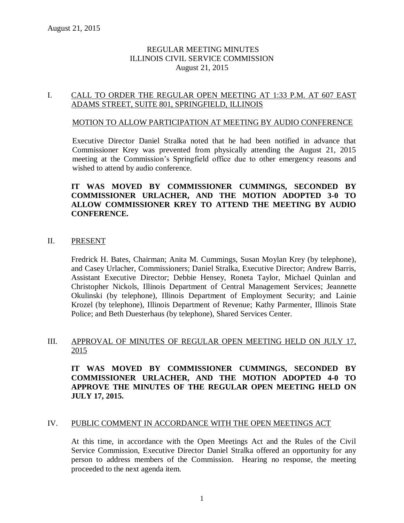### REGULAR MEETING MINUTES ILLINOIS CIVIL SERVICE COMMISSION August 21, 2015

### I. CALL TO ORDER THE REGULAR OPEN MEETING AT 1:33 P.M. AT 607 EAST ADAMS STREET, SUITE 801, SPRINGFIELD, ILLINOIS

#### MOTION TO ALLOW PARTICIPATION AT MEETING BY AUDIO CONFERENCE

Executive Director Daniel Stralka noted that he had been notified in advance that Commissioner Krey was prevented from physically attending the August 21, 2015 meeting at the Commission's Springfield office due to other emergency reasons and wished to attend by audio conference.

### **IT WAS MOVED BY COMMISSIONER CUMMINGS, SECONDED BY COMMISSIONER URLACHER, AND THE MOTION ADOPTED 3-0 TO ALLOW COMMISSIONER KREY TO ATTEND THE MEETING BY AUDIO CONFERENCE.**

### II. PRESENT

Fredrick H. Bates, Chairman; Anita M. Cummings, Susan Moylan Krey (by telephone), and Casey Urlacher, Commissioners; Daniel Stralka, Executive Director; Andrew Barris, Assistant Executive Director; Debbie Hensey, Roneta Taylor, Michael Quinlan and Christopher Nickols, Illinois Department of Central Management Services; Jeannette Okulinski (by telephone), Illinois Department of Employment Security; and Lainie Krozel (by telephone), Illinois Department of Revenue; Kathy Parmenter, Illinois State Police; and Beth Duesterhaus (by telephone), Shared Services Center.

### III. APPROVAL OF MINUTES OF REGULAR OPEN MEETING HELD ON JULY 17, 2015

**IT WAS MOVED BY COMMISSIONER CUMMINGS, SECONDED BY COMMISSIONER URLACHER, AND THE MOTION ADOPTED 4-0 TO APPROVE THE MINUTES OF THE REGULAR OPEN MEETING HELD ON JULY 17, 2015.** 

#### IV. PUBLIC COMMENT IN ACCORDANCE WITH THE OPEN MEETINGS ACT

At this time, in accordance with the Open Meetings Act and the Rules of the Civil Service Commission, Executive Director Daniel Stralka offered an opportunity for any person to address members of the Commission. Hearing no response, the meeting proceeded to the next agenda item.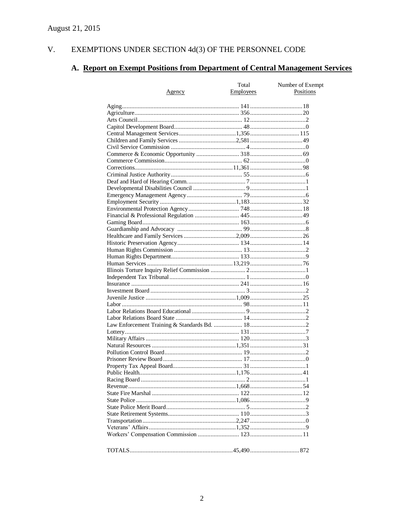#### V. EXEMPTIONS UNDER SECTION  $4d(3)$  OF THE PERSONNEL CODE

## A. Report on Exempt Positions from Department of Central Management Services

|               | Total            | Number of Exempt |
|---------------|------------------|------------------|
| <u>Agency</u> | <b>Employees</b> | Positions        |
|               |                  |                  |
|               |                  |                  |
|               |                  |                  |
|               |                  |                  |
|               |                  |                  |
|               |                  |                  |
|               |                  |                  |
|               |                  |                  |
|               |                  |                  |
|               |                  |                  |
|               |                  |                  |
|               |                  |                  |
|               |                  |                  |
|               |                  |                  |
|               |                  |                  |
|               |                  |                  |
|               |                  |                  |
|               |                  |                  |
|               |                  |                  |
|               |                  |                  |
|               |                  |                  |
|               |                  |                  |
|               |                  |                  |
|               |                  |                  |
|               |                  |                  |
|               |                  |                  |
|               |                  |                  |
|               |                  |                  |
|               |                  |                  |
|               |                  |                  |
|               |                  |                  |
|               |                  |                  |
|               |                  |                  |
|               |                  |                  |
|               |                  |                  |
|               |                  |                  |
|               |                  |                  |
|               |                  |                  |
|               |                  |                  |
|               |                  |                  |
|               |                  |                  |
|               |                  |                  |
|               |                  |                  |
|               |                  |                  |
|               |                  |                  |
|               |                  |                  |
|               |                  |                  |
|               |                  |                  |
|               |                  |                  |
|               |                  |                  |
|               |                  |                  |
|               |                  |                  |
|               |                  |                  |
|               |                  |                  |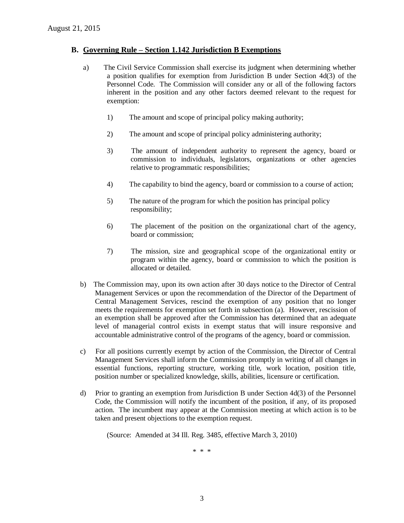#### **B. Governing Rule – Section 1.142 Jurisdiction B Exemptions**

- a) The Civil Service Commission shall exercise its judgment when determining whether a position qualifies for exemption from Jurisdiction B under Section 4d(3) of the Personnel Code. The Commission will consider any or all of the following factors inherent in the position and any other factors deemed relevant to the request for exemption:
	- 1) The amount and scope of principal policy making authority;
	- 2) The amount and scope of principal policy administering authority;
	- 3) The amount of independent authority to represent the agency, board or commission to individuals, legislators, organizations or other agencies relative to programmatic responsibilities;
	- 4) The capability to bind the agency, board or commission to a course of action;
	- 5) The nature of the program for which the position has principal policy responsibility;
	- 6) The placement of the position on the organizational chart of the agency, board or commission;
	- 7) The mission, size and geographical scope of the organizational entity or program within the agency, board or commission to which the position is allocated or detailed.
- b) The Commission may, upon its own action after 30 days notice to the Director of Central Management Services or upon the recommendation of the Director of the Department of Central Management Services, rescind the exemption of any position that no longer meets the requirements for exemption set forth in subsection (a). However, rescission of an exemption shall be approved after the Commission has determined that an adequate level of managerial control exists in exempt status that will insure responsive and accountable administrative control of the programs of the agency, board or commission.
- c) For all positions currently exempt by action of the Commission, the Director of Central Management Services shall inform the Commission promptly in writing of all changes in essential functions, reporting structure, working title, work location, position title, position number or specialized knowledge, skills, abilities, licensure or certification.
- d) Prior to granting an exemption from Jurisdiction B under Section 4d(3) of the Personnel Code, the Commission will notify the incumbent of the position, if any, of its proposed action. The incumbent may appear at the Commission meeting at which action is to be taken and present objections to the exemption request.

(Source: Amended at 34 Ill. Reg. 3485, effective March 3, 2010)

\* \* \*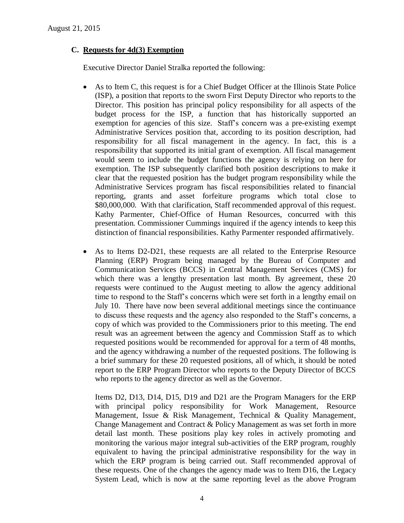### **C. Requests for 4d(3) Exemption**

Executive Director Daniel Stralka reported the following:

- As to Item C, this request is for a Chief Budget Officer at the Illinois State Police (ISP), a position that reports to the sworn First Deputy Director who reports to the Director. This position has principal policy responsibility for all aspects of the budget process for the ISP, a function that has historically supported an exemption for agencies of this size. Staff's concern was a pre-existing exempt Administrative Services position that, according to its position description, had responsibility for all fiscal management in the agency. In fact, this is a responsibility that supported its initial grant of exemption. All fiscal management would seem to include the budget functions the agency is relying on here for exemption. The ISP subsequently clarified both position descriptions to make it clear that the requested position has the budget program responsibility while the Administrative Services program has fiscal responsibilities related to financial reporting, grants and asset forfeiture programs which total close to \$80,000,000. With that clarification, Staff recommended approval of this request. Kathy Parmenter, Chief-Office of Human Resources, concurred with this presentation. Commissioner Cummings inquired if the agency intends to keep this distinction of financial responsibilities. Kathy Parmenter responded affirmatively.
- As to Items D2-D21, these requests are all related to the Enterprise Resource Planning (ERP) Program being managed by the Bureau of Computer and Communication Services (BCCS) in Central Management Services (CMS) for which there was a lengthy presentation last month. By agreement, these 20 requests were continued to the August meeting to allow the agency additional time to respond to the Staff's concerns which were set forth in a lengthy email on July 10. There have now been several additional meetings since the continuance to discuss these requests and the agency also responded to the Staff's concerns, a copy of which was provided to the Commissioners prior to this meeting. The end result was an agreement between the agency and Commission Staff as to which requested positions would be recommended for approval for a term of 48 months, and the agency withdrawing a number of the requested positions. The following is a brief summary for these 20 requested positions, all of which, it should be noted report to the ERP Program Director who reports to the Deputy Director of BCCS who reports to the agency director as well as the Governor.

Items D2, D13, D14, D15, D19 and D21 are the Program Managers for the ERP with principal policy responsibility for Work Management, Resource Management, Issue & Risk Management, Technical & Quality Management, Change Management and Contract & Policy Management as was set forth in more detail last month. These positions play key roles in actively promoting and monitoring the various major integral sub-activities of the ERP program, roughly equivalent to having the principal administrative responsibility for the way in which the ERP program is being carried out. Staff recommended approval of these requests. One of the changes the agency made was to Item D16, the Legacy System Lead, which is now at the same reporting level as the above Program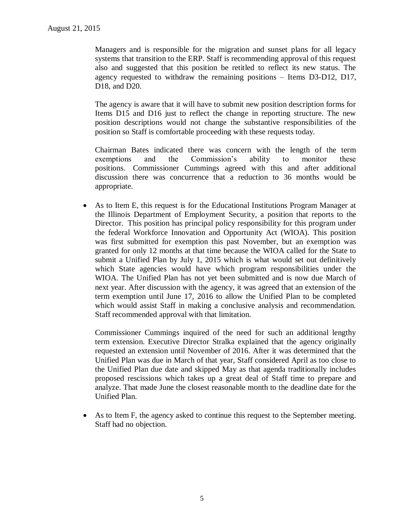Managers and is responsible for the migration and sunset plans for all legacy systems that transition to the ERP. Staff is recommending approval of this request also and suggested that this position be retitled to reflect its new status. The agency requested to withdraw the remaining positions – Items D3-D12, D17, D18, and D20.

The agency is aware that it will have to submit new position description forms for Items D15 and D16 just to reflect the change in reporting structure. The new position descriptions would not change the substantive responsibilities of the position so Staff is comfortable proceeding with these requests today.

Chairman Bates indicated there was concern with the length of the term exemptions and the Commission's ability to monitor these positions. Commissioner Cummings agreed with this and after additional discussion there was concurrence that a reduction to 36 months would be appropriate.

 As to Item E, this request is for the Educational Institutions Program Manager at the Illinois Department of Employment Security, a position that reports to the Director. This position has principal policy responsibility for this program under the federal Workforce Innovation and Opportunity Act (WIOA). This position was first submitted for exemption this past November, but an exemption was granted for only 12 months at that time because the WIOA called for the State to submit a Unified Plan by July 1, 2015 which is what would set out definitively which State agencies would have which program responsibilities under the WIOA. The Unified Plan has not yet been submitted and is now due March of next year. After discussion with the agency, it was agreed that an extension of the term exemption until June 17, 2016 to allow the Unified Plan to be completed which would assist Staff in making a conclusive analysis and recommendation. Staff recommended approval with that limitation.

Commissioner Cummings inquired of the need for such an additional lengthy term extension. Executive Director Stralka explained that the agency originally requested an extension until November of 2016. After it was determined that the Unified Plan was due in March of that year, Staff considered April as too close to the Unified Plan due date and skipped May as that agenda traditionally includes proposed rescissions which takes up a great deal of Staff time to prepare and analyze. That made June the closest reasonable month to the deadline date for the Unified Plan.

 As to Item F, the agency asked to continue this request to the September meeting. Staff had no objection.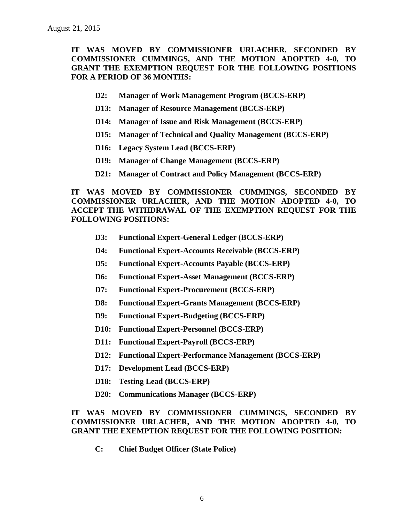**IT WAS MOVED BY COMMISSIONER URLACHER, SECONDED BY COMMISSIONER CUMMINGS, AND THE MOTION ADOPTED 4-0, TO GRANT THE EXEMPTION REQUEST FOR THE FOLLOWING POSITIONS FOR A PERIOD OF 36 MONTHS:**

- **D2: Manager of Work Management Program (BCCS-ERP)**
- **D13: Manager of Resource Management (BCCS-ERP)**
- **D14: Manager of Issue and Risk Management (BCCS-ERP)**
- **D15: Manager of Technical and Quality Management (BCCS-ERP)**
- **D16: Legacy System Lead (BCCS-ERP)**
- **D19: Manager of Change Management (BCCS-ERP)**
- **D21: Manager of Contract and Policy Management (BCCS-ERP)**

**IT WAS MOVED BY COMMISSIONER CUMMINGS, SECONDED BY COMMISSIONER URLACHER, AND THE MOTION ADOPTED 4-0, TO ACCEPT THE WITHDRAWAL OF THE EXEMPTION REQUEST FOR THE FOLLOWING POSITIONS:**

- **D3: Functional Expert-General Ledger (BCCS-ERP)**
- **D4: Functional Expert-Accounts Receivable (BCCS-ERP)**
- **D5: Functional Expert-Accounts Payable (BCCS-ERP)**
- **D6: Functional Expert-Asset Management (BCCS-ERP)**
- **D7: Functional Expert-Procurement (BCCS-ERP)**
- **D8: Functional Expert-Grants Management (BCCS-ERP)**
- **D9: Functional Expert-Budgeting (BCCS-ERP)**
- **D10: Functional Expert-Personnel (BCCS-ERP)**
- **D11: Functional Expert-Payroll (BCCS-ERP)**
- **D12: Functional Expert-Performance Management (BCCS-ERP)**
- **D17: Development Lead (BCCS-ERP)**
- **D18: Testing Lead (BCCS-ERP)**
- **D20: Communications Manager (BCCS-ERP)**

### **IT WAS MOVED BY COMMISSIONER CUMMINGS, SECONDED BY COMMISSIONER URLACHER, AND THE MOTION ADOPTED 4-0, TO GRANT THE EXEMPTION REQUEST FOR THE FOLLOWING POSITION:**

**C: Chief Budget Officer (State Police)**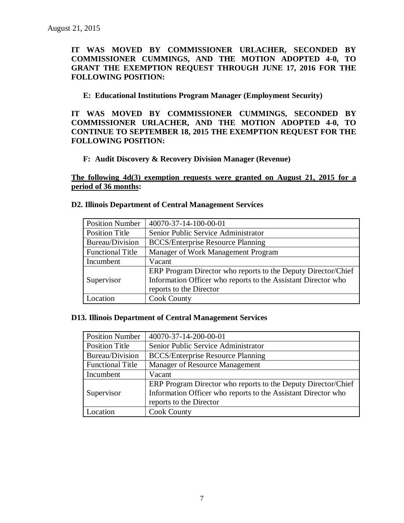**IT WAS MOVED BY COMMISSIONER URLACHER, SECONDED BY COMMISSIONER CUMMINGS, AND THE MOTION ADOPTED 4-0, TO GRANT THE EXEMPTION REQUEST THROUGH JUNE 17, 2016 FOR THE FOLLOWING POSITION:**

### **E: Educational Institutions Program Manager (Employment Security)**

**IT WAS MOVED BY COMMISSIONER CUMMINGS, SECONDED BY COMMISSIONER URLACHER, AND THE MOTION ADOPTED 4-0, TO CONTINUE TO SEPTEMBER 18, 2015 THE EXEMPTION REQUEST FOR THE FOLLOWING POSITION:**

### **F: Audit Discovery & Recovery Division Manager (Revenue)**

**The following 4d(3) exemption requests were granted on August 21, 2015 for a period of 36 months:**

| <b>Position Number</b>  | 40070-37-14-100-00-01                                         |
|-------------------------|---------------------------------------------------------------|
| <b>Position Title</b>   | Senior Public Service Administrator                           |
| <b>Bureau/Division</b>  | <b>BCCS/Enterprise Resource Planning</b>                      |
| <b>Functional Title</b> | Manager of Work Management Program                            |
| Incumbent               | Vacant                                                        |
|                         | ERP Program Director who reports to the Deputy Director/Chief |
| Supervisor              | Information Officer who reports to the Assistant Director who |
|                         | reports to the Director                                       |
| Location                | <b>Cook County</b>                                            |

#### **D13. Illinois Department of Central Management Services**

| <b>Position Number</b>  | 40070-37-14-200-00-01                                         |
|-------------------------|---------------------------------------------------------------|
| <b>Position Title</b>   | Senior Public Service Administrator                           |
| Bureau/Division         | <b>BCCS/Enterprise Resource Planning</b>                      |
| <b>Functional Title</b> | Manager of Resource Management                                |
| Incumbent               | Vacant                                                        |
|                         | ERP Program Director who reports to the Deputy Director/Chief |
| Supervisor              | Information Officer who reports to the Assistant Director who |
|                         | reports to the Director                                       |
| Location                | <b>Cook County</b>                                            |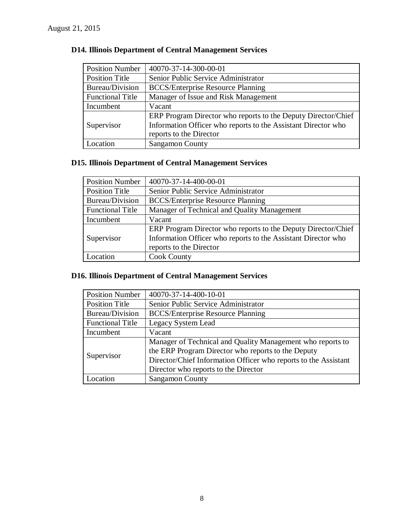| <b>Position Number</b>  | 40070-37-14-300-00-01                                         |
|-------------------------|---------------------------------------------------------------|
| <b>Position Title</b>   | Senior Public Service Administrator                           |
| Bureau/Division         | <b>BCCS/Enterprise Resource Planning</b>                      |
| <b>Functional Title</b> | Manager of Issue and Risk Management                          |
| Incumbent               | Vacant                                                        |
|                         | ERP Program Director who reports to the Deputy Director/Chief |
| Supervisor              | Information Officer who reports to the Assistant Director who |
|                         | reports to the Director                                       |
| Location                | <b>Sangamon County</b>                                        |

## **D14. Illinois Department of Central Management Services**

## **D15. Illinois Department of Central Management Services**

| <b>Position Number</b>  | 40070-37-14-400-00-01                                         |
|-------------------------|---------------------------------------------------------------|
| <b>Position Title</b>   | Senior Public Service Administrator                           |
| Bureau/Division         | <b>BCCS/Enterprise Resource Planning</b>                      |
| <b>Functional Title</b> | Manager of Technical and Quality Management                   |
| Incumbent               | Vacant                                                        |
|                         | ERP Program Director who reports to the Deputy Director/Chief |
| Supervisor              | Information Officer who reports to the Assistant Director who |
|                         | reports to the Director                                       |
| Location                | <b>Cook County</b>                                            |

### **D16. Illinois Department of Central Management Services**

| <b>Position Number</b>  | 40070-37-14-400-10-01                                           |
|-------------------------|-----------------------------------------------------------------|
| <b>Position Title</b>   | Senior Public Service Administrator                             |
| Bureau/Division         | <b>BCCS/Enterprise Resource Planning</b>                        |
| <b>Functional Title</b> | Legacy System Lead                                              |
| Incumbent               | Vacant                                                          |
| Supervisor              | Manager of Technical and Quality Management who reports to      |
|                         | the ERP Program Director who reports to the Deputy              |
|                         | Director/Chief Information Officer who reports to the Assistant |
|                         | Director who reports to the Director                            |
| ocation                 | <b>Sangamon County</b>                                          |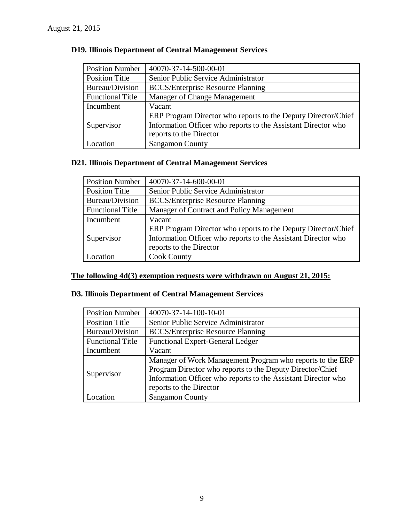| <b>Position Number</b>  | 40070-37-14-500-00-01                                         |
|-------------------------|---------------------------------------------------------------|
| <b>Position Title</b>   | Senior Public Service Administrator                           |
| Bureau/Division         | <b>BCCS/Enterprise Resource Planning</b>                      |
| <b>Functional Title</b> | Manager of Change Management                                  |
| Incumbent               | Vacant                                                        |
|                         | ERP Program Director who reports to the Deputy Director/Chief |
| Supervisor              | Information Officer who reports to the Assistant Director who |
|                         | reports to the Director                                       |
| Location                | <b>Sangamon County</b>                                        |

### **D19. Illinois Department of Central Management Services**

## **D21. Illinois Department of Central Management Services**

| <b>Position Number</b>  | 40070-37-14-600-00-01                                         |
|-------------------------|---------------------------------------------------------------|
| <b>Position Title</b>   | Senior Public Service Administrator                           |
| Bureau/Division         | <b>BCCS/Enterprise Resource Planning</b>                      |
| <b>Functional Title</b> | Manager of Contract and Policy Management                     |
| Incumbent               | Vacant                                                        |
|                         | ERP Program Director who reports to the Deputy Director/Chief |
| Supervisor              | Information Officer who reports to the Assistant Director who |
|                         | reports to the Director                                       |
| Location                | <b>Cook County</b>                                            |

### **The following 4d(3) exemption requests were withdrawn on August 21, 2015:**

### **D3. Illinois Department of Central Management Services**

| <b>Position Number</b>  | 40070-37-14-100-10-01                                                                                                                                                                                              |
|-------------------------|--------------------------------------------------------------------------------------------------------------------------------------------------------------------------------------------------------------------|
| <b>Position Title</b>   | Senior Public Service Administrator                                                                                                                                                                                |
| Bureau/Division         | <b>BCCS/Enterprise Resource Planning</b>                                                                                                                                                                           |
| <b>Functional Title</b> | <b>Functional Expert-General Ledger</b>                                                                                                                                                                            |
| Incumbent               | Vacant                                                                                                                                                                                                             |
| Supervisor              | Manager of Work Management Program who reports to the ERP<br>Program Director who reports to the Deputy Director/Chief<br>Information Officer who reports to the Assistant Director who<br>reports to the Director |
| Location                | <b>Sangamon County</b>                                                                                                                                                                                             |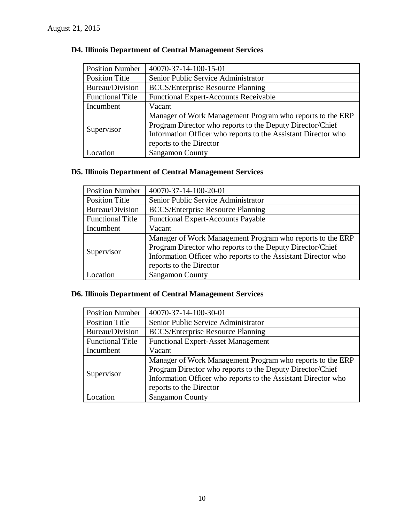| <b>Position Number</b>  | 40070-37-14-100-15-01                                         |
|-------------------------|---------------------------------------------------------------|
| <b>Position Title</b>   | Senior Public Service Administrator                           |
| Bureau/Division         | <b>BCCS/Enterprise Resource Planning</b>                      |
| <b>Functional Title</b> | <b>Functional Expert-Accounts Receivable</b>                  |
| Incumbent               | Vacant                                                        |
| Supervisor              | Manager of Work Management Program who reports to the ERP     |
|                         | Program Director who reports to the Deputy Director/Chief     |
|                         | Information Officer who reports to the Assistant Director who |
|                         | reports to the Director                                       |
| Location                | <b>Sangamon County</b>                                        |

### **D4. Illinois Department of Central Management Services**

### **D5. Illinois Department of Central Management Services**

| <b>Position Number</b>  | 40070-37-14-100-20-01                                                                                                                                                                                              |
|-------------------------|--------------------------------------------------------------------------------------------------------------------------------------------------------------------------------------------------------------------|
| <b>Position Title</b>   | Senior Public Service Administrator                                                                                                                                                                                |
| Bureau/Division         | <b>BCCS/Enterprise Resource Planning</b>                                                                                                                                                                           |
| <b>Functional Title</b> | <b>Functional Expert-Accounts Payable</b>                                                                                                                                                                          |
| Incumbent               | Vacant                                                                                                                                                                                                             |
| Supervisor              | Manager of Work Management Program who reports to the ERP<br>Program Director who reports to the Deputy Director/Chief<br>Information Officer who reports to the Assistant Director who<br>reports to the Director |
| Location                | <b>Sangamon County</b>                                                                                                                                                                                             |

### **D6. Illinois Department of Central Management Services**

| <b>Position Number</b>  | 40070-37-14-100-30-01                                                                                                  |
|-------------------------|------------------------------------------------------------------------------------------------------------------------|
| <b>Position Title</b>   | Senior Public Service Administrator                                                                                    |
| Bureau/Division         | <b>BCCS/Enterprise Resource Planning</b>                                                                               |
| <b>Functional Title</b> | <b>Functional Expert-Asset Management</b>                                                                              |
| Incumbent               | Vacant                                                                                                                 |
| Supervisor              | Manager of Work Management Program who reports to the ERP<br>Program Director who reports to the Deputy Director/Chief |
|                         | Information Officer who reports to the Assistant Director who<br>reports to the Director                               |
| Location                | <b>Sangamon County</b>                                                                                                 |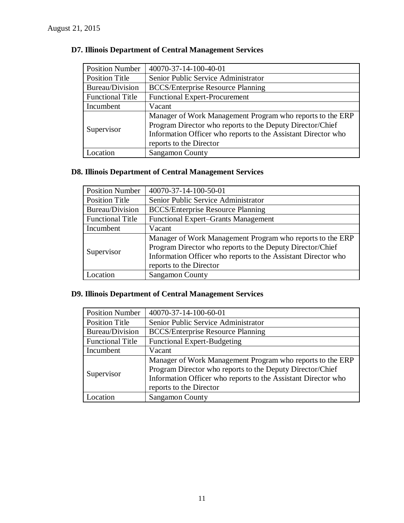| <b>Position Number</b>  | 40070-37-14-100-40-01                                         |
|-------------------------|---------------------------------------------------------------|
| <b>Position Title</b>   | Senior Public Service Administrator                           |
| Bureau/Division         | <b>BCCS/Enterprise Resource Planning</b>                      |
| <b>Functional Title</b> | <b>Functional Expert-Procurement</b>                          |
| Incumbent               | Vacant                                                        |
| Supervisor              | Manager of Work Management Program who reports to the ERP     |
|                         | Program Director who reports to the Deputy Director/Chief     |
|                         | Information Officer who reports to the Assistant Director who |
|                         | reports to the Director                                       |
| Location                | <b>Sangamon County</b>                                        |

### **D7. Illinois Department of Central Management Services**

# **D8. Illinois Department of Central Management Services**

| <b>Position Number</b>  | 40070-37-14-100-50-01                                                                                                                                                                                              |
|-------------------------|--------------------------------------------------------------------------------------------------------------------------------------------------------------------------------------------------------------------|
| <b>Position Title</b>   | Senior Public Service Administrator                                                                                                                                                                                |
| Bureau/Division         | <b>BCCS/Enterprise Resource Planning</b>                                                                                                                                                                           |
| <b>Functional Title</b> | <b>Functional Expert–Grants Management</b>                                                                                                                                                                         |
| Incumbent               | Vacant                                                                                                                                                                                                             |
| Supervisor              | Manager of Work Management Program who reports to the ERP<br>Program Director who reports to the Deputy Director/Chief<br>Information Officer who reports to the Assistant Director who<br>reports to the Director |
| Location                | <b>Sangamon County</b>                                                                                                                                                                                             |

### **D9. Illinois Department of Central Management Services**

| <b>Position Number</b>  | 40070-37-14-100-60-01                                                                                                                                                                                              |
|-------------------------|--------------------------------------------------------------------------------------------------------------------------------------------------------------------------------------------------------------------|
| <b>Position Title</b>   | Senior Public Service Administrator                                                                                                                                                                                |
| <b>Bureau/Division</b>  | <b>BCCS/Enterprise Resource Planning</b>                                                                                                                                                                           |
| <b>Functional Title</b> | <b>Functional Expert-Budgeting</b>                                                                                                                                                                                 |
| Incumbent               | Vacant                                                                                                                                                                                                             |
| Supervisor              | Manager of Work Management Program who reports to the ERP<br>Program Director who reports to the Deputy Director/Chief<br>Information Officer who reports to the Assistant Director who<br>reports to the Director |
| Location                | <b>Sangamon County</b>                                                                                                                                                                                             |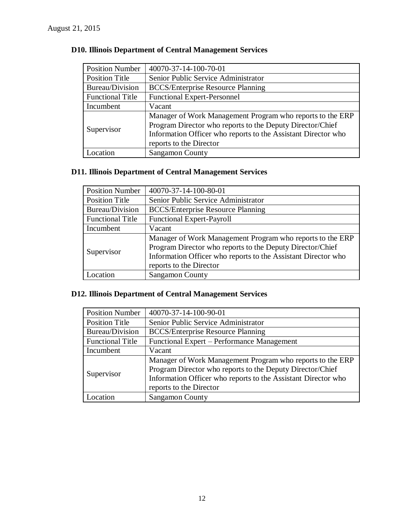| <b>Position Number</b>  | 40070-37-14-100-70-01                                         |
|-------------------------|---------------------------------------------------------------|
| <b>Position Title</b>   | Senior Public Service Administrator                           |
| Bureau/Division         | <b>BCCS/Enterprise Resource Planning</b>                      |
| <b>Functional Title</b> | <b>Functional Expert-Personnel</b>                            |
| Incumbent               | Vacant                                                        |
| Supervisor              | Manager of Work Management Program who reports to the ERP     |
|                         | Program Director who reports to the Deputy Director/Chief     |
|                         | Information Officer who reports to the Assistant Director who |
|                         | reports to the Director                                       |
| Location                | <b>Sangamon County</b>                                        |

### **D10. Illinois Department of Central Management Services**

### **D11. Illinois Department of Central Management Services**

| <b>Position Number</b>  | 40070-37-14-100-80-01                                                                                                                                                                                              |
|-------------------------|--------------------------------------------------------------------------------------------------------------------------------------------------------------------------------------------------------------------|
| <b>Position Title</b>   | Senior Public Service Administrator                                                                                                                                                                                |
| Bureau/Division         | <b>BCCS/Enterprise Resource Planning</b>                                                                                                                                                                           |
| <b>Functional Title</b> | <b>Functional Expert-Payroll</b>                                                                                                                                                                                   |
| Incumbent               | Vacant                                                                                                                                                                                                             |
| Supervisor              | Manager of Work Management Program who reports to the ERP<br>Program Director who reports to the Deputy Director/Chief<br>Information Officer who reports to the Assistant Director who<br>reports to the Director |
| Location                | <b>Sangamon County</b>                                                                                                                                                                                             |

### **D12. Illinois Department of Central Management Services**

| <b>Position Number</b>  | 40070-37-14-100-90-01                                                                                                  |
|-------------------------|------------------------------------------------------------------------------------------------------------------------|
| <b>Position Title</b>   | Senior Public Service Administrator                                                                                    |
| Bureau/Division         | <b>BCCS/Enterprise Resource Planning</b>                                                                               |
| <b>Functional Title</b> | Functional Expert – Performance Management                                                                             |
| Incumbent               | Vacant                                                                                                                 |
| Supervisor              | Manager of Work Management Program who reports to the ERP<br>Program Director who reports to the Deputy Director/Chief |
|                         |                                                                                                                        |
|                         | Information Officer who reports to the Assistant Director who                                                          |
|                         | reports to the Director                                                                                                |
| Location                | <b>Sangamon County</b>                                                                                                 |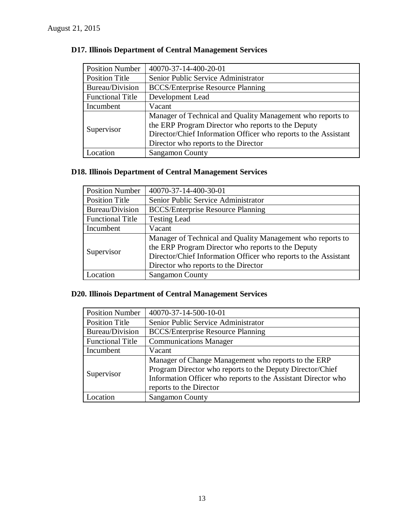| <b>Position Number</b>  | 40070-37-14-400-20-01                                           |
|-------------------------|-----------------------------------------------------------------|
| <b>Position Title</b>   | Senior Public Service Administrator                             |
| Bureau/Division         | <b>BCCS/Enterprise Resource Planning</b>                        |
| <b>Functional Title</b> | Development Lead                                                |
| Incumbent               | Vacant                                                          |
| Supervisor              | Manager of Technical and Quality Management who reports to      |
|                         | the ERP Program Director who reports to the Deputy              |
|                         | Director/Chief Information Officer who reports to the Assistant |
|                         | Director who reports to the Director                            |
| Location                | <b>Sangamon County</b>                                          |

### **D17. Illinois Department of Central Management Services**

### **D18. Illinois Department of Central Management Services**

| <b>Position Number</b>  | 40070-37-14-400-30-01                                                                                            |
|-------------------------|------------------------------------------------------------------------------------------------------------------|
| <b>Position Title</b>   | Senior Public Service Administrator                                                                              |
| <b>Bureau/Division</b>  | <b>BCCS/Enterprise Resource Planning</b>                                                                         |
| <b>Functional Title</b> | <b>Testing Lead</b>                                                                                              |
| Incumbent               | Vacant                                                                                                           |
| Supervisor              | Manager of Technical and Quality Management who reports to<br>the ERP Program Director who reports to the Deputy |
|                         | Director/Chief Information Officer who reports to the Assistant                                                  |
|                         | Director who reports to the Director                                                                             |
| ocation                 | <b>Sangamon County</b>                                                                                           |

### **D20. Illinois Department of Central Management Services**

| <b>Position Number</b>  | 40070-37-14-500-10-01                                         |
|-------------------------|---------------------------------------------------------------|
| <b>Position Title</b>   | Senior Public Service Administrator                           |
| Bureau/Division         | <b>BCCS/Enterprise Resource Planning</b>                      |
| <b>Functional Title</b> | <b>Communications Manager</b>                                 |
| Incumbent               | Vacant                                                        |
|                         | Manager of Change Management who reports to the ERP           |
|                         | Program Director who reports to the Deputy Director/Chief     |
| Supervisor              | Information Officer who reports to the Assistant Director who |
|                         | reports to the Director                                       |
| Location                | <b>Sangamon County</b>                                        |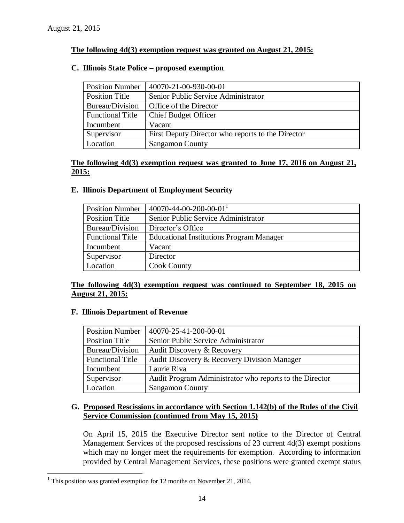### **The following 4d(3) exemption request was granted on August 21, 2015:**

### **C. Illinois State Police – proposed exemption**

| <b>Position Number</b>  | 40070-21-00-930-00-01                             |
|-------------------------|---------------------------------------------------|
| <b>Position Title</b>   | Senior Public Service Administrator               |
| Bureau/Division         | Office of the Director                            |
| <b>Functional Title</b> | <b>Chief Budget Officer</b>                       |
| Incumbent               | Vacant                                            |
| Supervisor              | First Deputy Director who reports to the Director |
| Location                | <b>Sangamon County</b>                            |

### **The following 4d(3) exemption request was granted to June 17, 2016 on August 21, 2015:**

### **E. Illinois Department of Employment Security**

| <b>Position Number</b>  | 40070-44-00-200-00-01                           |
|-------------------------|-------------------------------------------------|
| <b>Position Title</b>   | Senior Public Service Administrator             |
| Bureau/Division         | Director's Office                               |
| <b>Functional Title</b> | <b>Educational Institutions Program Manager</b> |
| Incumbent               | Vacant                                          |
| Supervisor              | Director                                        |
| Location                | <b>Cook County</b>                              |

### **The following 4d(3) exemption request was continued to September 18, 2015 on August 21, 2015:**

### **F. Illinois Department of Revenue**

| <b>Position Number</b>  | 40070-25-41-200-00-01                                   |
|-------------------------|---------------------------------------------------------|
| <b>Position Title</b>   | Senior Public Service Administrator                     |
| Bureau/Division         | Audit Discovery & Recovery                              |
| <b>Functional Title</b> | Audit Discovery & Recovery Division Manager             |
| Incumbent               | Laurie Riva                                             |
| Supervisor              | Audit Program Administrator who reports to the Director |
| Location                | <b>Sangamon County</b>                                  |

### **G. Proposed Rescissions in accordance with Section 1.142(b) of the Rules of the Civil Service Commission (continued from May 15, 2015)**

On April 15, 2015 the Executive Director sent notice to the Director of Central Management Services of the proposed rescissions of 23 current 4d(3) exempt positions which may no longer meet the requirements for exemption. According to information provided by Central Management Services, these positions were granted exempt status

 $\overline{a}$ 

 $1$  This position was granted exemption for 12 months on November 21, 2014.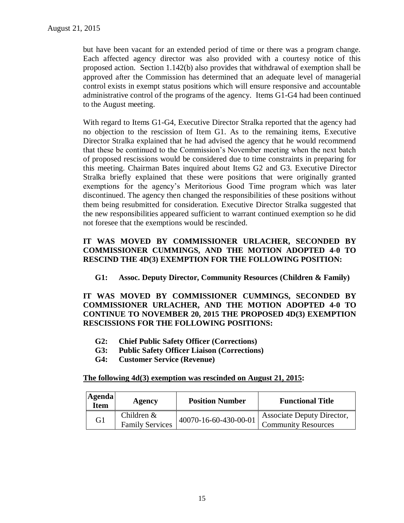but have been vacant for an extended period of time or there was a program change. Each affected agency director was also provided with a courtesy notice of this proposed action. Section 1.142(b) also provides that withdrawal of exemption shall be approved after the Commission has determined that an adequate level of managerial control exists in exempt status positions which will ensure responsive and accountable administrative control of the programs of the agency. Items G1-G4 had been continued to the August meeting.

With regard to Items G1-G4, Executive Director Stralka reported that the agency had no objection to the rescission of Item G1. As to the remaining items, Executive Director Stralka explained that he had advised the agency that he would recommend that these be continued to the Commission's November meeting when the next batch of proposed rescissions would be considered due to time constraints in preparing for this meeting. Chairman Bates inquired about Items G2 and G3. Executive Director Stralka briefly explained that these were positions that were originally granted exemptions for the agency's Meritorious Good Time program which was later discontinued. The agency then changed the responsibilities of these positions without them being resubmitted for consideration. Executive Director Stralka suggested that the new responsibilities appeared sufficient to warrant continued exemption so he did not foresee that the exemptions would be rescinded.

### **IT WAS MOVED BY COMMISSIONER URLACHER, SECONDED BY COMMISSIONER CUMMINGS, AND THE MOTION ADOPTED 4-0 TO RESCIND THE 4D(3) EXEMPTION FOR THE FOLLOWING POSITION:**

**G1: Assoc. Deputy Director, Community Resources (Children & Family)**

**IT WAS MOVED BY COMMISSIONER CUMMINGS, SECONDED BY COMMISSIONER URLACHER, AND THE MOTION ADOPTED 4-0 TO CONTINUE TO NOVEMBER 20, 2015 THE PROPOSED 4D(3) EXEMPTION RESCISSIONS FOR THE FOLLOWING POSITIONS:**

- **G2: Chief Public Safety Officer (Corrections)**
- **G3: Public Safety Officer Liaison (Corrections)**
- **G4: Customer Service (Revenue)**

#### **The following 4d(3) exemption was rescinded on August 21, 2015:**

| <b>Agenda</b><br>Item | Agency                                  | <b>Position Number</b> | <b>Functional Title</b>                                  |
|-----------------------|-----------------------------------------|------------------------|----------------------------------------------------------|
| G1                    | Children $\&$<br><b>Family Services</b> | 40070-16-60-430-00-01  | Associate Deputy Director,<br><b>Community Resources</b> |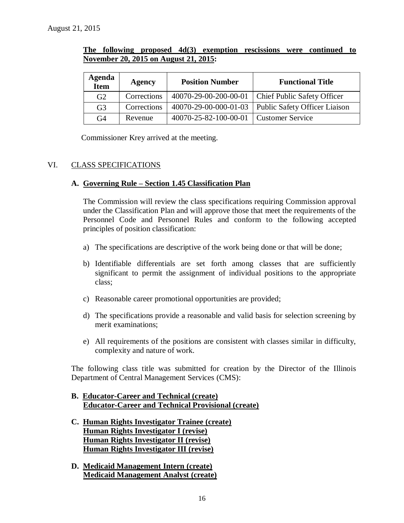|                                       |  | The following proposed $4d(3)$ exemption rescissions were continued to |  |  |
|---------------------------------------|--|------------------------------------------------------------------------|--|--|
| November 20, 2015 on August 21, 2015: |  |                                                                        |  |  |

| Agenda<br><b>Item</b> | <b>Agency</b> | <b>Position Number</b> | <b>Functional Title</b>                               |
|-----------------------|---------------|------------------------|-------------------------------------------------------|
| G <sub>2</sub>        | Corrections   | 40070-29-00-200-00-01  | <b>Chief Public Safety Officer</b>                    |
| G <sub>3</sub>        | Corrections   |                        | 40070-29-00-000-01-03   Public Safety Officer Liaison |
| G <sub>4</sub>        | Revenue       | 40070-25-82-100-00-01  | Customer Service                                      |

Commissioner Krey arrived at the meeting.

### VI. CLASS SPECIFICATIONS

### **A. Governing Rule – Section 1.45 Classification Plan**

The Commission will review the class specifications requiring Commission approval under the Classification Plan and will approve those that meet the requirements of the Personnel Code and Personnel Rules and conform to the following accepted principles of position classification:

- a) The specifications are descriptive of the work being done or that will be done;
- b) Identifiable differentials are set forth among classes that are sufficiently significant to permit the assignment of individual positions to the appropriate class;
- c) Reasonable career promotional opportunities are provided;
- d) The specifications provide a reasonable and valid basis for selection screening by merit examinations;
- e) All requirements of the positions are consistent with classes similar in difficulty, complexity and nature of work.

The following class title was submitted for creation by the Director of the Illinois Department of Central Management Services (CMS):

- **B. Educator-Career and Technical (create) Educator-Career and Technical Provisional (create)**
- **C. Human Rights Investigator Trainee (create) Human Rights Investigator I (revise) Human Rights Investigator II (revise) Human Rights Investigator III (revise)**
- **D. Medicaid Management Intern (create) Medicaid Management Analyst (create)**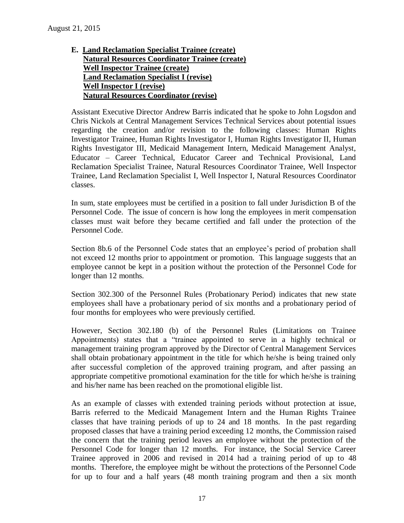**E. Land Reclamation Specialist Trainee (create) Natural Resources Coordinator Trainee (create) Well Inspector Trainee (create) Land Reclamation Specialist I (revise) Well Inspector I (revise) Natural Resources Coordinator (revise)**

Assistant Executive Director Andrew Barris indicated that he spoke to John Logsdon and Chris Nickols at Central Management Services Technical Services about potential issues regarding the creation and/or revision to the following classes: Human Rights Investigator Trainee, Human Rights Investigator I, Human Rights Investigator II, Human Rights Investigator III, Medicaid Management Intern, Medicaid Management Analyst, Educator – Career Technical, Educator Career and Technical Provisional, Land Reclamation Specialist Trainee, Natural Resources Coordinator Trainee, Well Inspector Trainee, Land Reclamation Specialist I, Well Inspector I, Natural Resources Coordinator classes.

In sum, state employees must be certified in a position to fall under Jurisdiction B of the Personnel Code. The issue of concern is how long the employees in merit compensation classes must wait before they became certified and fall under the protection of the Personnel Code.

Section 8b.6 of the Personnel Code states that an employee's period of probation shall not exceed 12 months prior to appointment or promotion. This language suggests that an employee cannot be kept in a position without the protection of the Personnel Code for longer than 12 months.

Section 302.300 of the Personnel Rules (Probationary Period) indicates that new state employees shall have a probationary period of six months and a probationary period of four months for employees who were previously certified.

However, Section 302.180 (b) of the Personnel Rules (Limitations on Trainee Appointments) states that a "trainee appointed to serve in a highly technical or management training program approved by the Director of Central Management Services shall obtain probationary appointment in the title for which he/she is being trained only after successful completion of the approved training program, and after passing an appropriate competitive promotional examination for the title for which he/she is training and his/her name has been reached on the promotional eligible list.

As an example of classes with extended training periods without protection at issue, Barris referred to the Medicaid Management Intern and the Human Rights Trainee classes that have training periods of up to 24 and 18 months. In the past regarding proposed classes that have a training period exceeding 12 months, the Commission raised the concern that the training period leaves an employee without the protection of the Personnel Code for longer than 12 months. For instance, the Social Service Career Trainee approved in 2006 and revised in 2014 had a training period of up to 48 months. Therefore, the employee might be without the protections of the Personnel Code for up to four and a half years (48 month training program and then a six month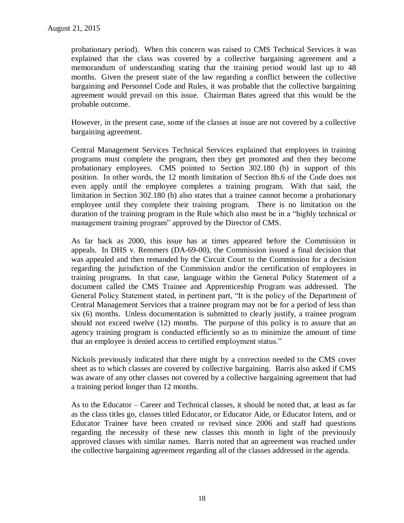probationary period). When this concern was raised to CMS Technical Services it was explained that the class was covered by a collective bargaining agreement and a memorandum of understanding stating that the training period would last up to 48 months. Given the present state of the law regarding a conflict between the collective bargaining and Personnel Code and Rules, it was probable that the collective bargaining agreement would prevail on this issue. Chairman Bates agreed that this would be the probable outcome.

However, in the present case, some of the classes at issue are not covered by a collective bargaining agreement.

Central Management Services Technical Services explained that employees in training programs must complete the program, then they get promoted and then they become probationary employees. CMS pointed to Section 302.180 (b) in support of this position. In other words, the 12 month limitation of Section 8b.6 of the Code does not even apply until the employee completes a training program. With that said, the limitation in Section 302.180 (b) also states that a trainee cannot become a probationary employee until they complete their training program. There is no limitation on the duration of the training program in the Rule which also must be in a "highly technical or management training program" approved by the Director of CMS.

As far back as 2000, this issue has at times appeared before the Commission in appeals. In DHS v. Remmers (DA-69-00), the Commission issued a final decision that was appealed and then remanded by the Circuit Court to the Commission for a decision regarding the jurisdiction of the Commission and/or the certification of employees in training programs. In that case, language within the General Policy Statement of a document called the CMS Trainee and Apprenticeship Program was addressed. The General Policy Statement stated, in pertinent part, "It is the policy of the Department of Central Management Services that a trainee program may not be for a period of less than six (6) months. Unless documentation is submitted to clearly justify, a trainee program should not exceed twelve (12) months. The purpose of this policy is to assure that an agency training program is conducted efficiently so as to minimize the amount of time that an employee is denied access to certified employment status."

Nickols previously indicated that there might by a correction needed to the CMS cover sheet as to which classes are covered by collective bargaining. Barris also asked if CMS was aware of any other classes not covered by a collective bargaining agreement that had a training period longer than 12 months.

As to the Educator – Career and Technical classes, it should be noted that, at least as far as the class titles go, classes titled Educator, or Educator Aide, or Educator Intern, and or Educator Trainee have been created or revised since 2006 and staff had questions regarding the necessity of these new classes this month in light of the previously approved classes with similar names. Barris noted that an agreement was reached under the collective bargaining agreement regarding all of the classes addressed in the agenda.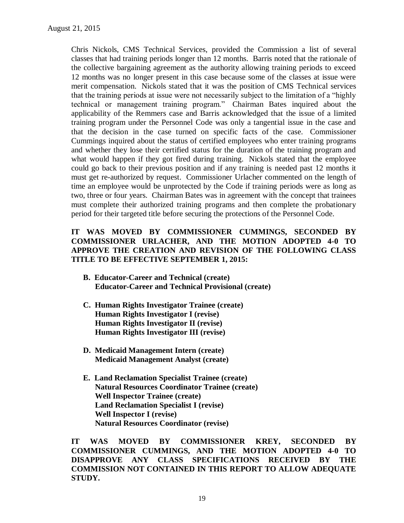Chris Nickols, CMS Technical Services, provided the Commission a list of several classes that had training periods longer than 12 months. Barris noted that the rationale of the collective bargaining agreement as the authority allowing training periods to exceed 12 months was no longer present in this case because some of the classes at issue were merit compensation. Nickols stated that it was the position of CMS Technical services that the training periods at issue were not necessarily subject to the limitation of a "highly technical or management training program." Chairman Bates inquired about the applicability of the Remmers case and Barris acknowledged that the issue of a limited training program under the Personnel Code was only a tangential issue in the case and that the decision in the case turned on specific facts of the case. Commissioner Cummings inquired about the status of certified employees who enter training programs and whether they lose their certified status for the duration of the training program and what would happen if they got fired during training. Nickols stated that the employee could go back to their previous position and if any training is needed past 12 months it must get re-authorized by request. Commissioner Urlacher commented on the length of time an employee would be unprotected by the Code if training periods were as long as two, three or four years. Chairman Bates was in agreement with the concept that trainees must complete their authorized training programs and then complete the probationary period for their targeted title before securing the protections of the Personnel Code.

### **IT WAS MOVED BY COMMISSIONER CUMMINGS, SECONDED BY COMMISSIONER URLACHER, AND THE MOTION ADOPTED 4-0 TO APPROVE THE CREATION AND REVISION OF THE FOLLOWING CLASS TITLE TO BE EFFECTIVE SEPTEMBER 1, 2015:**

- **B. Educator-Career and Technical (create) Educator-Career and Technical Provisional (create)**
- **C. Human Rights Investigator Trainee (create) Human Rights Investigator I (revise) Human Rights Investigator II (revise) Human Rights Investigator III (revise)**
- **D. Medicaid Management Intern (create) Medicaid Management Analyst (create)**
- **E. Land Reclamation Specialist Trainee (create) Natural Resources Coordinator Trainee (create) Well Inspector Trainee (create) Land Reclamation Specialist I (revise) Well Inspector I (revise) Natural Resources Coordinator (revise)**

**IT WAS MOVED BY COMMISSIONER KREY, SECONDED BY COMMISSIONER CUMMINGS, AND THE MOTION ADOPTED 4-0 TO DISAPPROVE ANY CLASS SPECIFICATIONS RECEIVED BY THE COMMISSION NOT CONTAINED IN THIS REPORT TO ALLOW ADEQUATE STUDY.**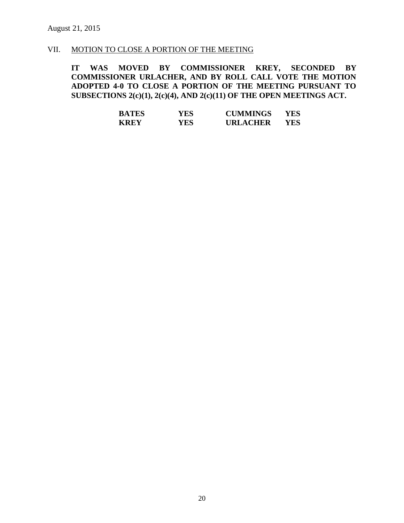### VII. MOTION TO CLOSE A PORTION OF THE MEETING

**IT WAS MOVED BY COMMISSIONER KREY, SECONDED BY COMMISSIONER URLACHER, AND BY ROLL CALL VOTE THE MOTION ADOPTED 4-0 TO CLOSE A PORTION OF THE MEETING PURSUANT TO SUBSECTIONS 2(c)(1), 2(c)(4), AND 2(c)(11) OF THE OPEN MEETINGS ACT.**

| <b>BATES</b> | YES  | <b>CUMMINGS</b> | YES. |
|--------------|------|-----------------|------|
| <b>KREY</b>  | YES. | <b>URLACHER</b> | YES. |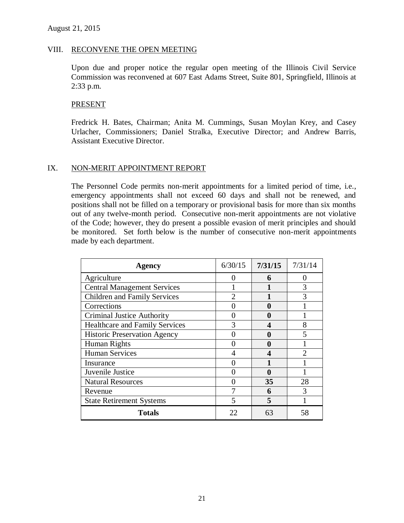#### VIII. RECONVENE THE OPEN MEETING

Upon due and proper notice the regular open meeting of the Illinois Civil Service Commission was reconvened at 607 East Adams Street, Suite 801, Springfield, Illinois at 2:33 p.m.

#### **PRESENT**

Fredrick H. Bates, Chairman; Anita M. Cummings, Susan Moylan Krey, and Casey Urlacher, Commissioners; Daniel Stralka, Executive Director; and Andrew Barris, Assistant Executive Director.

#### IX. NON-MERIT APPOINTMENT REPORT

The Personnel Code permits non-merit appointments for a limited period of time, i.e., emergency appointments shall not exceed 60 days and shall not be renewed, and positions shall not be filled on a temporary or provisional basis for more than six months out of any twelve-month period. Consecutive non-merit appointments are not violative of the Code; however, they do present a possible evasion of merit principles and should be monitored. Set forth below is the number of consecutive non-merit appointments made by each department.

| Agency                                | 6/30/15 | 7/31/15 | 7/31/14       |
|---------------------------------------|---------|---------|---------------|
| Agriculture                           |         | 6       |               |
| <b>Central Management Services</b>    |         |         | 3             |
| <b>Children and Family Services</b>   |         |         | 3             |
| Corrections                           |         | 0       |               |
| <b>Criminal Justice Authority</b>     |         | O       |               |
| <b>Healthcare and Family Services</b> |         | 4       | 8             |
| <b>Historic Preservation Agency</b>   |         | 0       | 5             |
| Human Rights                          |         |         |               |
| <b>Human Services</b>                 |         |         | $\mathcal{D}$ |
| Insurance                             |         |         |               |
| Juvenile Justice                      |         | 0       |               |
| <b>Natural Resources</b>              |         | 35      | 28            |
| Revenue                               |         | 6       | 3             |
| <b>State Retirement Systems</b>       |         | 5       |               |
| Totals                                | 22      | 63      | 58            |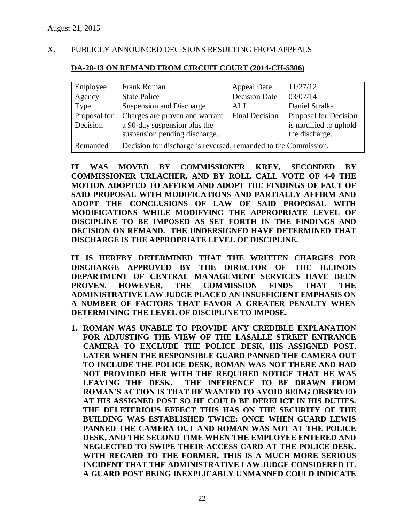### X. PUBLICLY ANNOUNCED DECISIONS RESULTING FROM APPEALS

### **DA-20-13 ON REMAND FROM CIRCUIT COURT (2014-CH-5306)**

| Employee     | Frank Roman                                                     | <b>Appeal Date</b>    | 11/27/12              |  |
|--------------|-----------------------------------------------------------------|-----------------------|-----------------------|--|
| Agency       | <b>State Police</b>                                             | <b>Decision Date</b>  | 03/07/14              |  |
| Type         | Suspension and Discharge                                        | ALJ                   | Daniel Stralka        |  |
| Proposal for | Charges are proven and warrant                                  | <b>Final Decision</b> | Proposal for Decision |  |
| Decision     | a 90-day suspension plus the                                    |                       | is modified to uphold |  |
|              | suspension pending discharge.<br>the discharge.                 |                       |                       |  |
| Remanded     | Decision for discharge is reversed; remanded to the Commission. |                       |                       |  |

**IT WAS MOVED BY COMMISSIONER KREY, SECONDED BY COMMISSIONER URLACHER, AND BY ROLL CALL VOTE OF 4-0 THE MOTION ADOPTED TO AFFIRM AND ADOPT THE FINDINGS OF FACT OF SAID PROPOSAL WITH MODIFICATIONS AND PARTIALLY AFFIRM AND ADOPT THE CONCLUSIONS OF LAW OF SAID PROPOSAL WITH MODIFICATIONS WHILE MODIFYING THE APPROPRIATE LEVEL OF DISCIPLINE TO BE IMPOSED AS SET FORTH IN THE FINDINGS AND DECISION ON REMAND. THE UNDERSIGNED HAVE DETERMINED THAT DISCHARGE IS THE APPROPRIATE LEVEL OF DISCIPLINE.** 

**IT IS HEREBY DETERMINED THAT THE WRITTEN CHARGES FOR DISCHARGE APPROVED BY THE DIRECTOR OF THE ILLINOIS DEPARTMENT OF CENTRAL MANAGEMENT SERVICES HAVE BEEN PROVEN. HOWEVER, THE COMMISSION FINDS THAT THE ADMINISTRATIVE LAW JUDGE PLACED AN INSUFFICIENT EMPHASIS ON A NUMBER OF FACTORS THAT FAVOR A GREATER PENALTY WHEN DETERMINING THE LEVEL OF DISCIPLINE TO IMPOSE.**

**1. ROMAN WAS UNABLE TO PROVIDE ANY CREDIBLE EXPLANATION FOR ADJUSTING THE VIEW OF THE LASALLE STREET ENTRANCE CAMERA TO EXCLUDE THE POLICE DESK, HIS ASSIGNED POST. LATER WHEN THE RESPONSIBLE GUARD PANNED THE CAMERA OUT TO INCLUDE THE POLICE DESK, ROMAN WAS NOT THERE AND HAD NOT PROVIDED HER WITH THE REQUIRED NOTICE THAT HE WAS LEAVING THE DESK. THE INFERENCE TO BE DRAWN FROM ROMAN'S ACTION IS THAT HE WANTED TO AVOID BEING OBSERVED AT HIS ASSIGNED POST SO HE COULD BE DERELICT IN HIS DUTIES. THE DELETERIOUS EFFECT THIS HAS ON THE SECURITY OF THE BUILDING WAS ESTABLISHED TWICE: ONCE WHEN GUARD LEWIS PANNED THE CAMERA OUT AND ROMAN WAS NOT AT THE POLICE DESK, AND THE SECOND TIME WHEN THE EMPLOYEE ENTERED AND NEGLECTED TO SWIPE THEIR ACCESS CARD AT THE POLICE DESK. WITH REGARD TO THE FORMER, THIS IS A MUCH MORE SERIOUS INCIDENT THAT THE ADMINISTRATIVE LAW JUDGE CONSIDERED IT. A GUARD POST BEING INEXPLICABLY UNMANNED COULD INDICATE**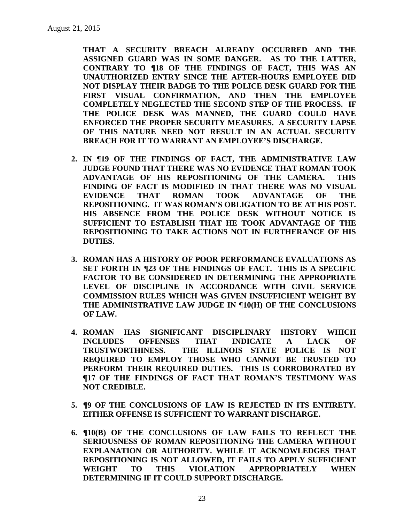**THAT A SECURITY BREACH ALREADY OCCURRED AND THE ASSIGNED GUARD WAS IN SOME DANGER. AS TO THE LATTER, CONTRARY TO ¶18 OF THE FINDINGS OF FACT, THIS WAS AN UNAUTHORIZED ENTRY SINCE THE AFTER-HOURS EMPLOYEE DID NOT DISPLAY THEIR BADGE TO THE POLICE DESK GUARD FOR THE FIRST VISUAL CONFIRMATION, AND THEN THE EMPLOYEE COMPLETELY NEGLECTED THE SECOND STEP OF THE PROCESS. IF THE POLICE DESK WAS MANNED, THE GUARD COULD HAVE ENFORCED THE PROPER SECURITY MEASURES. A SECURITY LAPSE OF THIS NATURE NEED NOT RESULT IN AN ACTUAL SECURITY BREACH FOR IT TO WARRANT AN EMPLOYEE'S DISCHARGE.**

- **2. IN ¶19 OF THE FINDINGS OF FACT, THE ADMINISTRATIVE LAW JUDGE FOUND THAT THERE WAS NO EVIDENCE THAT ROMAN TOOK ADVANTAGE OF HIS REPOSITIONING OF THE CAMERA. THIS FINDING OF FACT IS MODIFIED IN THAT THERE WAS NO VISUAL EVIDENCE THAT ROMAN TOOK ADVANTAGE OF THE REPOSITIONING. IT WAS ROMAN'S OBLIGATION TO BE AT HIS POST. HIS ABSENCE FROM THE POLICE DESK WITHOUT NOTICE IS SUFFICIENT TO ESTABLISH THAT HE TOOK ADVANTAGE OF THE REPOSITIONING TO TAKE ACTIONS NOT IN FURTHERANCE OF HIS DUTIES.**
- **3. ROMAN HAS A HISTORY OF POOR PERFORMANCE EVALUATIONS AS SET FORTH IN ¶23 OF THE FINDINGS OF FACT. THIS IS A SPECIFIC FACTOR TO BE CONSIDERED IN DETERMINING THE APPROPRIATE LEVEL OF DISCIPLINE IN ACCORDANCE WITH CIVIL SERVICE COMMISSION RULES WHICH WAS GIVEN INSUFFICIENT WEIGHT BY THE ADMINISTRATIVE LAW JUDGE IN ¶10(H) OF THE CONCLUSIONS OF LAW.**
- **4. ROMAN HAS SIGNIFICANT DISCIPLINARY HISTORY WHICH INCLUDES OFFENSES THAT INDICATE A LACK OF TRUSTWORTHINESS. THE ILLINOIS STATE POLICE IS NOT REQUIRED TO EMPLOY THOSE WHO CANNOT BE TRUSTED TO PERFORM THEIR REQUIRED DUTIES. THIS IS CORROBORATED BY ¶17 OF THE FINDINGS OF FACT THAT ROMAN'S TESTIMONY WAS NOT CREDIBLE.**
- **5. ¶9 OF THE CONCLUSIONS OF LAW IS REJECTED IN ITS ENTIRETY. EITHER OFFENSE IS SUFFICIENT TO WARRANT DISCHARGE.**
- **6. ¶10(B) OF THE CONCLUSIONS OF LAW FAILS TO REFLECT THE SERIOUSNESS OF ROMAN REPOSITIONING THE CAMERA WITHOUT EXPLANATION OR AUTHORITY. WHILE IT ACKNOWLEDGES THAT REPOSITIONING IS NOT ALLOWED, IT FAILS TO APPLY SUFFICIENT WEIGHT TO THIS VIOLATION APPROPRIATELY WHEN DETERMINING IF IT COULD SUPPORT DISCHARGE.**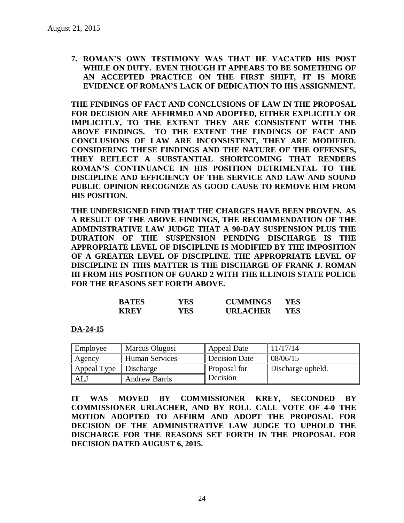**7. ROMAN'S OWN TESTIMONY WAS THAT HE VACATED HIS POST WHILE ON DUTY. EVEN THOUGH IT APPEARS TO BE SOMETHING OF AN ACCEPTED PRACTICE ON THE FIRST SHIFT, IT IS MORE EVIDENCE OF ROMAN'S LACK OF DEDICATION TO HIS ASSIGNMENT.**

**THE FINDINGS OF FACT AND CONCLUSIONS OF LAW IN THE PROPOSAL FOR DECISION ARE AFFIRMED AND ADOPTED, EITHER EXPLICITLY OR IMPLICITLY, TO THE EXTENT THEY ARE CONSISTENT WITH THE ABOVE FINDINGS. TO THE EXTENT THE FINDINGS OF FACT AND CONCLUSIONS OF LAW ARE INCONSISTENT, THEY ARE MODIFIED. CONSIDERING THESE FINDINGS AND THE NATURE OF THE OFFENSES, THEY REFLECT A SUBSTANTIAL SHORTCOMING THAT RENDERS ROMAN'S CONTINUANCE IN HIS POSITION DETRIMENTAL TO THE DISCIPLINE AND EFFICIENCY OF THE SERVICE AND LAW AND SOUND PUBLIC OPINION RECOGNIZE AS GOOD CAUSE TO REMOVE HIM FROM HIS POSITION.**

**THE UNDERSIGNED FIND THAT THE CHARGES HAVE BEEN PROVEN. AS A RESULT OF THE ABOVE FINDINGS, THE RECOMMENDATION OF THE ADMINISTRATIVE LAW JUDGE THAT A 90-DAY SUSPENSION PLUS THE DURATION OF THE SUSPENSION PENDING DISCHARGE IS THE APPROPRIATE LEVEL OF DISCIPLINE IS MODIFIED BY THE IMPOSITION OF A GREATER LEVEL OF DISCIPLINE. THE APPROPRIATE LEVEL OF DISCIPLINE IN THIS MATTER IS THE DISCHARGE OF FRANK J. ROMAN III FROM HIS POSITION OF GUARD 2 WITH THE ILLINOIS STATE POLICE FOR THE REASONS SET FORTH ABOVE.** 

| <b>BATES</b> | YES | <b>CUMMINGS</b> | YES. |
|--------------|-----|-----------------|------|
| <b>KREY</b>  | YES | <b>URLACHER</b> | YES. |

**DA-24-15**

| Employee    | Marcus Olugosi        | Appeal Date   | 11/17/14          |
|-------------|-----------------------|---------------|-------------------|
| Agency      | <b>Human Services</b> | Decision Date | 08/06/15          |
| Appeal Type | Discharge             | Proposal for  | Discharge upheld. |
| ALJ         | <b>Andrew Barris</b>  | Decision      |                   |

**IT WAS MOVED BY COMMISSIONER KREY, SECONDED BY COMMISSIONER URLACHER, AND BY ROLL CALL VOTE OF 4-0 THE MOTION ADOPTED TO AFFIRM AND ADOPT THE PROPOSAL FOR DECISION OF THE ADMINISTRATIVE LAW JUDGE TO UPHOLD THE DISCHARGE FOR THE REASONS SET FORTH IN THE PROPOSAL FOR DECISION DATED AUGUST 6, 2015.**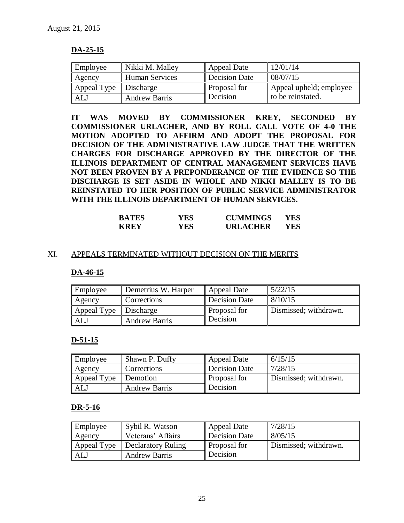### **DA-25-15**

| Employee    | Nikki M. Malley      | Appeal Date         | 12/01/14                |
|-------------|----------------------|---------------------|-------------------------|
| Agency      | Human Services       | Decision Date       | 08/07/15                |
| Appeal Type | Discharge            | <b>Proposal for</b> | Appeal upheld; employee |
| ALJ         | <b>Andrew Barris</b> | Decision            | to be reinstated.       |

**IT WAS MOVED BY COMMISSIONER KREY, SECONDED BY COMMISSIONER URLACHER, AND BY ROLL CALL VOTE OF 4-0 THE MOTION ADOPTED TO AFFIRM AND ADOPT THE PROPOSAL FOR DECISION OF THE ADMINISTRATIVE LAW JUDGE THAT THE WRITTEN CHARGES FOR DISCHARGE APPROVED BY THE DIRECTOR OF THE ILLINOIS DEPARTMENT OF CENTRAL MANAGEMENT SERVICES HAVE NOT BEEN PROVEN BY A PREPONDERANCE OF THE EVIDENCE SO THE DISCHARGE IS SET ASIDE IN WHOLE AND NIKKI MALLEY IS TO BE REINSTATED TO HER POSITION OF PUBLIC SERVICE ADMINISTRATOR WITH THE ILLINOIS DEPARTMENT OF HUMAN SERVICES.**

| <b>BATES</b> | YES. | <b>CUMMINGS</b> | YES |
|--------------|------|-----------------|-----|
| <b>KREY</b>  | YES. | <b>URLACHER</b> | YES |

### XI. APPEALS TERMINATED WITHOUT DECISION ON THE MERITS

### **DA-46-15**

| Employee                          | Demetrius W. Harper  | Appeal Date         | 5/22/15               |
|-----------------------------------|----------------------|---------------------|-----------------------|
| Agency                            | Corrections          | Decision Date       | 8/10/15               |
| Appeal Type $\parallel$ Discharge |                      | <b>Proposal for</b> | Dismissed; withdrawn. |
| AL.                               | <b>Andrew Barris</b> | Decision            |                       |

### **D-51-15**

| Employee    | Shawn P. Duffy       | Appeal Date   | 6/15/15               |
|-------------|----------------------|---------------|-----------------------|
| Agency      | Corrections          | Decision Date | 7/28/15               |
| Appeal Type | Demotion             | Proposal for  | Dismissed; withdrawn. |
| <b>ALJ</b>  | <b>Andrew Barris</b> | Decision      |                       |

### **DR-5-16**

| Employee    | Sybil R. Watson      | Appeal Date   | 7/28/15               |
|-------------|----------------------|---------------|-----------------------|
| Agency      | Veterans' Affairs    | Decision Date | 8/05/15               |
| Appeal Type | Declaratory Ruling   | Proposal for  | Dismissed; withdrawn. |
| <b>ALJ</b>  | <b>Andrew Barris</b> | Decision      |                       |